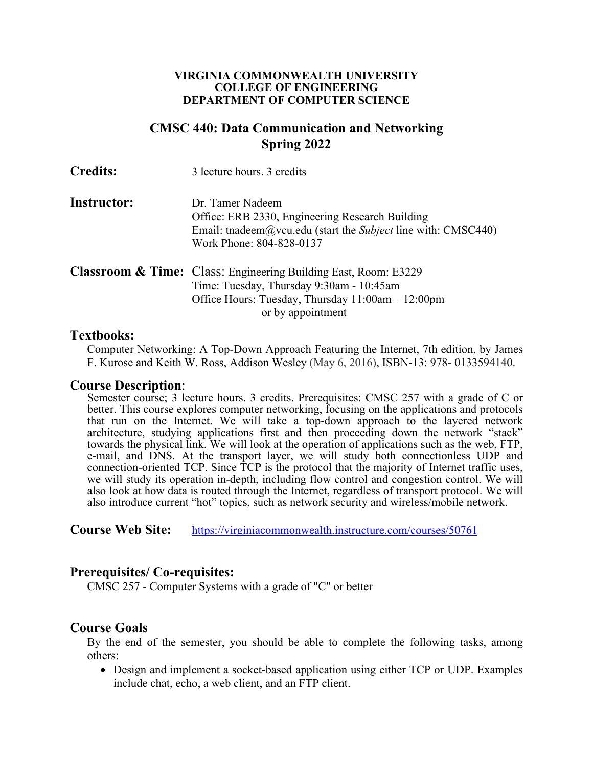#### **VIRGINIA COMMONWEALTH UNIVERSITY COLLEGE OF ENGINEERING DEPARTMENT OF COMPUTER SCIENCE**

# **CMSC 440: Data Communication and Networking Spring 2022**

| <b>Instructor:</b> | Dr. Tamer Nadeem                                                                |
|--------------------|---------------------------------------------------------------------------------|
|                    | Office: ERB 2330, Engineering Research Building                                 |
|                    | Email: the deem $\omega$ v cu edu (start the <i>Subject</i> line with: CMSC440) |
|                    | Work Phone: 804-828-0137                                                        |
|                    |                                                                                 |

| <b>Classroom &amp; Time:</b> Class: Engineering Building East, Room: E3229 |
|----------------------------------------------------------------------------|
| Time: Tuesday, Thursday 9:30am - 10:45am                                   |
| Office Hours: Tuesday, Thursday $11:00$ am $-12:00$ pm                     |
| or by appointment                                                          |

## **Textbooks:**

Computer Networking: A Top-Down Approach Featuring the Internet, 7th edition, by James F. Kurose and Keith W. Ross, Addison Wesley (May 6, 2016), ISBN-13: 978- 0133594140.

### **Course Description**:

Semester course; 3 lecture hours. 3 credits. Prerequisites: CMSC 257 with a grade of C or better. This course explores computer networking, focusing on the applications and protocols that run on the Internet. We will take a top-down approach to the layered network architecture, studying applications first and then proceeding down the network "stack" towards the physical link. We will look at the operation of applications such as the web, FTP, e-mail, and DNS. At the transport layer, we will study both connectionless UDP and connection-oriented TCP. Since TCP is the protocol that the majority of Internet traffic uses, we will study its operation in-depth, including flow control and congestion control. We will also look at how data is routed through the Internet, regardless of transport protocol. We will also introduce current "hot" topics, such as network security and wireless/mobile network.

**Course Web Site:** https://virginiacommonwealth.instructure.com/courses/50761

# **Prerequisites/ Co-requisites:**

CMSC 257 - Computer Systems with a grade of "C" or better

# **Course Goals**

By the end of the semester, you should be able to complete the following tasks, among others:

• Design and implement a socket-based application using either TCP or UDP. Examples include chat, echo, a web client, and an FTP client.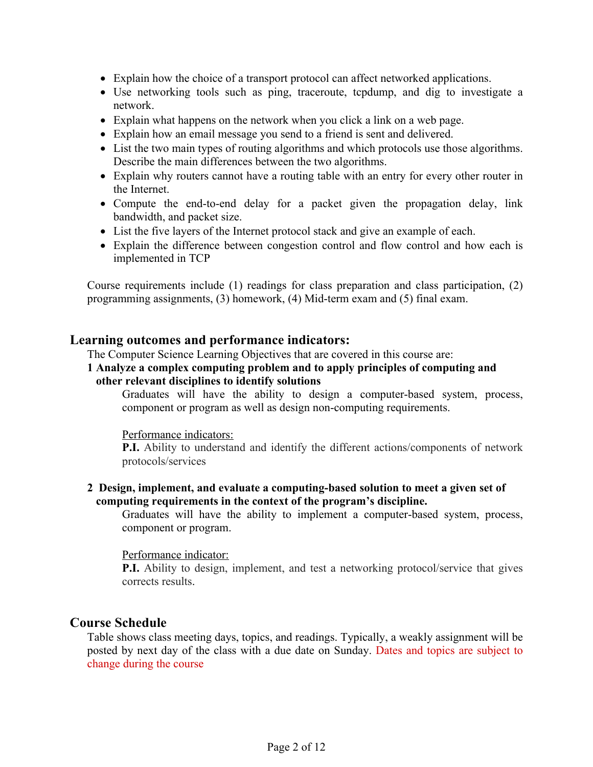- Explain how the choice of a transport protocol can affect networked applications.
- Use networking tools such as ping, traceroute, tcpdump, and dig to investigate a network.
- Explain what happens on the network when you click a link on a web page.
- Explain how an email message you send to a friend is sent and delivered.
- List the two main types of routing algorithms and which protocols use those algorithms. Describe the main differences between the two algorithms.
- Explain why routers cannot have a routing table with an entry for every other router in the Internet.
- Compute the end-to-end delay for a packet given the propagation delay, link bandwidth, and packet size.
- List the five layers of the Internet protocol stack and give an example of each.
- Explain the difference between congestion control and flow control and how each is implemented in TCP

Course requirements include (1) readings for class preparation and class participation, (2) programming assignments, (3) homework, (4) Mid-term exam and (5) final exam.

# **Learning outcomes and performance indicators:**

The Computer Science Learning Objectives that are covered in this course are:

### **1 Analyze a complex computing problem and to apply principles of computing and other relevant disciplines to identify solutions**

Graduates will have the ability to design a computer-based system, process, component or program as well as design non-computing requirements.

### Performance indicators:

**P.I.** Ability to understand and identify the different actions/components of network protocols/services

## **2 Design, implement, and evaluate a computing-based solution to meet a given set of computing requirements in the context of the program's discipline.**

Graduates will have the ability to implement a computer-based system, process, component or program.

### Performance indicator:

**P.I.** Ability to design, implement, and test a networking protocol/service that gives corrects results.

# **Course Schedule**

Table shows class meeting days, topics, and readings. Typically, a weakly assignment will be posted by next day of the class with a due date on Sunday. Dates and topics are subject to change during the course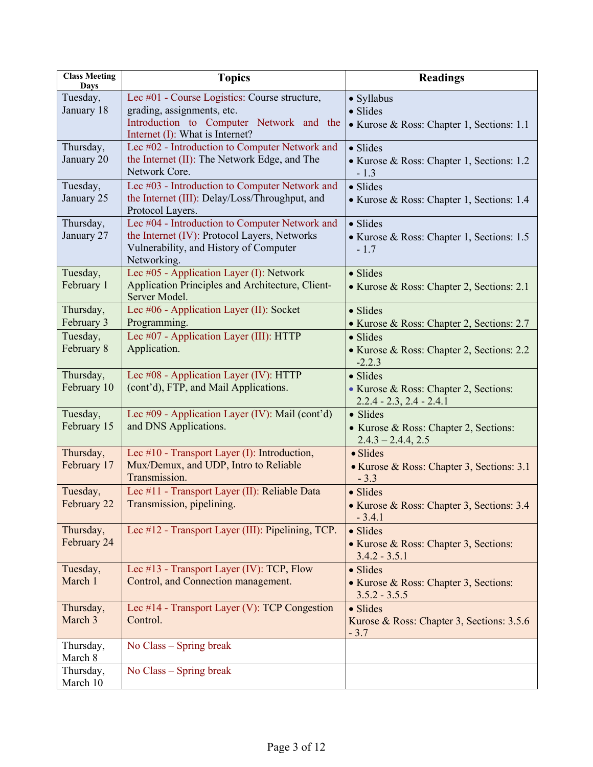| <b>Class Meeting</b><br>Days | <b>Topics</b>                                                                                         | <b>Readings</b>                                                     |
|------------------------------|-------------------------------------------------------------------------------------------------------|---------------------------------------------------------------------|
| Tuesday,                     | Lec #01 - Course Logistics: Course structure,                                                         | • Syllabus                                                          |
| January 18                   | grading, assignments, etc.                                                                            | · Slides                                                            |
|                              | Introduction to Computer Network and the<br>Internet (I): What is Internet?                           | • Kurose & Ross: Chapter 1, Sections: 1.1                           |
| Thursday,                    | Lec #02 - Introduction to Computer Network and                                                        | · Slides                                                            |
| January 20                   | the Internet (II): The Network Edge, and The<br>Network Core.                                         | • Kurose & Ross: Chapter 1, Sections: 1.2<br>$-1.3$                 |
| Tuesday,                     | Lec #03 - Introduction to Computer Network and                                                        | · Slides                                                            |
| January 25                   | the Internet (III): Delay/Loss/Throughput, and<br>Protocol Layers.                                    | • Kurose & Ross: Chapter 1, Sections: 1.4                           |
| Thursday,                    | Lec #04 - Introduction to Computer Network and                                                        | · Slides                                                            |
| January 27                   | the Internet (IV): Protocol Layers, Networks<br>Vulnerability, and History of Computer<br>Networking. | • Kurose & Ross: Chapter 1, Sections: 1.5<br>$-1.7$                 |
| Tuesday,                     | Lec #05 - Application Layer (I): Network                                                              | · Slides                                                            |
| February 1                   | Application Principles and Architecture, Client-<br>Server Model.                                     | • Kurose & Ross: Chapter 2, Sections: 2.1                           |
| Thursday,                    | Lec #06 - Application Layer (II): Socket                                                              | · Slides                                                            |
| February 3                   | Programming.                                                                                          | • Kurose & Ross: Chapter 2, Sections: 2.7                           |
| Tuesday,                     | Lec #07 - Application Layer (III): HTTP                                                               | $\bullet$ Slides                                                    |
| February 8                   | Application.                                                                                          | • Kurose & Ross: Chapter 2, Sections: 2.2<br>$-2.2.3$               |
| Thursday,                    | Lec #08 - Application Layer (IV): HTTP                                                                | · Slides                                                            |
| February 10                  | (cont'd), FTP, and Mail Applications.                                                                 | • Kurose & Ross: Chapter 2, Sections:<br>$2.2.4 - 2.3, 2.4 - 2.4.1$ |
| Tuesday,                     | Lec #09 - Application Layer (IV): Mail (cont'd)                                                       | · Slides                                                            |
| February 15                  | and DNS Applications.                                                                                 | • Kurose & Ross: Chapter 2, Sections:<br>$2.4.3 - 2.4.4, 2.5$       |
| Thursday,                    | Lec $\#10$ - Transport Layer (I): Introduction,                                                       | · Slides                                                            |
| February 17                  | Mux/Demux, and UDP, Intro to Reliable<br>Transmission.                                                | • Kurose & Ross: Chapter 3, Sections: 3.1<br>$-3.3$                 |
| Tuesday,                     | Lec #11 - Transport Layer (II): Reliable Data                                                         | • Slides                                                            |
| February 22                  | Transmission, pipelining.                                                                             | • Kurose & Ross: Chapter 3, Sections: 3.4<br>$-3.4.1$               |
| Thursday,                    | Lec #12 - Transport Layer (III): Pipelining, TCP.                                                     | $\bullet$ Slides                                                    |
| February 24                  |                                                                                                       | • Kurose & Ross: Chapter 3, Sections:<br>$3.4.2 - 3.5.1$            |
| Tuesday,                     | Lec #13 - Transport Layer (IV): TCP, Flow                                                             | $\bullet$ Slides                                                    |
| March 1                      | Control, and Connection management.                                                                   | • Kurose & Ross: Chapter 3, Sections:<br>$3.5.2 - 3.5.5$            |
| Thursday,                    | Lec #14 - Transport Layer (V): TCP Congestion                                                         | · Slides                                                            |
| March 3                      | Control.                                                                                              | Kurose & Ross: Chapter 3, Sections: 3.5.6<br>$-3.7$                 |
| Thursday,                    | No Class – Spring break                                                                               |                                                                     |
| March 8                      |                                                                                                       |                                                                     |
| Thursday,                    | No Class – Spring break                                                                               |                                                                     |
| March 10                     |                                                                                                       |                                                                     |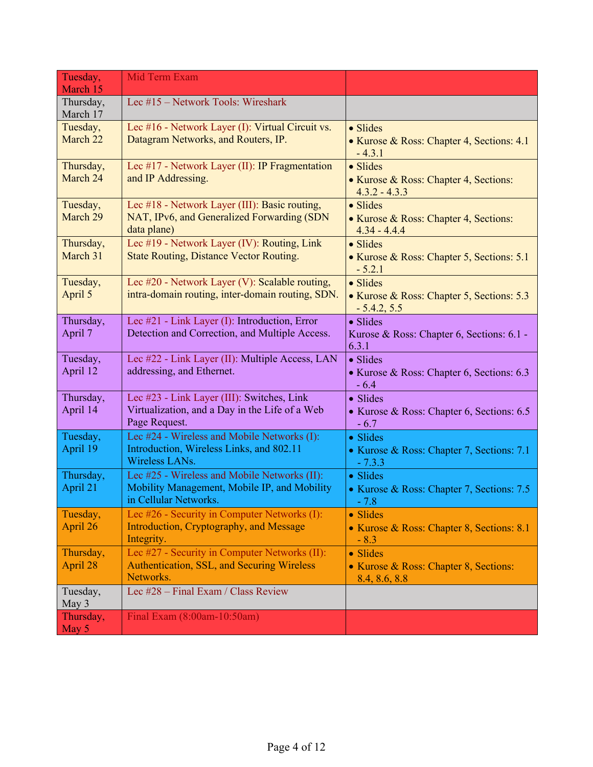| Tuesday,              | Mid Term Exam                                                         |                                                            |
|-----------------------|-----------------------------------------------------------------------|------------------------------------------------------------|
| March 15              |                                                                       |                                                            |
| Thursday,<br>March 17 | Lec #15 - Network Tools: Wireshark                                    |                                                            |
| Tuesday,              | Lec #16 - Network Layer (I): Virtual Circuit vs.                      | • Slides                                                   |
| March 22              | Datagram Networks, and Routers, IP.                                   | • Kurose & Ross: Chapter 4, Sections: 4.1<br>$-4.3.1$      |
| Thursday,             | Lec #17 - Network Layer (II): IP Fragmentation                        | · Slides                                                   |
| March 24              | and IP Addressing.                                                    | • Kurose & Ross: Chapter 4, Sections:<br>$4.3.2 - 4.3.3$   |
| Tuesday,              | Lec #18 - Network Layer (III): Basic routing,                         | · Slides                                                   |
| March 29              | NAT, IPv6, and Generalized Forwarding (SDN<br>data plane)             | • Kurose & Ross: Chapter 4, Sections:<br>$4.34 - 4.4.4$    |
| Thursday,             | Lec #19 - Network Layer (IV): Routing, Link                           | $\bullet$ Slides                                           |
| March 31              | <b>State Routing, Distance Vector Routing.</b>                        | • Kurose & Ross: Chapter 5, Sections: 5.1<br>$-5.2.1$      |
| Tuesday,              | Lec #20 - Network Layer (V): Scalable routing,                        | · Slides                                                   |
| April 5               | intra-domain routing, inter-domain routing, SDN.                      | • Kurose & Ross: Chapter 5, Sections: 5.3<br>$-5.4.2, 5.5$ |
| Thursday,             | Lec #21 - Link Layer (I): Introduction, Error                         | · Slides                                                   |
| April 7               | Detection and Correction, and Multiple Access.                        | Kurose & Ross: Chapter 6, Sections: 6.1 -<br>6.3.1         |
| Tuesday,              | Lec #22 - Link Layer (II): Multiple Access, LAN                       | • Slides                                                   |
| April 12              | addressing, and Ethernet.                                             | • Kurose & Ross: Chapter 6, Sections: 6.3<br>$-6.4$        |
| Thursday,             | Lec #23 - Link Layer (III): Switches, Link                            | • Slides                                                   |
| April 14              | Virtualization, and a Day in the Life of a Web<br>Page Request.       | • Kurose & Ross: Chapter 6, Sections: 6.5<br>$-6.7$        |
| Tuesday,              | Lec #24 - Wireless and Mobile Networks (I):                           | • Slides                                                   |
| April 19              | Introduction, Wireless Links, and 802.11<br>Wireless LANs.            | • Kurose & Ross: Chapter 7, Sections: 7.1<br>$-7.3.3$      |
| Thursday,             | Lec #25 - Wireless and Mobile Networks (II):                          | • Slides                                                   |
| April 21              | Mobility Management, Mobile IP, and Mobility<br>in Cellular Networks. | • Kurose & Ross: Chapter 7, Sections: 7.5<br>- 7.8         |
| Tuesday,              | Lec #26 - Security in Computer Networks (I):                          | • Slides                                                   |
| April 26              | Introduction, Cryptography, and Message<br>Integrity.                 | • Kurose & Ross: Chapter 8, Sections: 8.1<br>$-8.3$        |
| Thursday,             | Lec #27 - Security in Computer Networks (II):                         | • Slides                                                   |
| April 28              | Authentication, SSL, and Securing Wireless<br>Networks.               | • Kurose & Ross: Chapter 8, Sections:<br>8.4, 8.6, 8.8     |
| Tuesday,<br>May 3     | Lec #28 - Final Exam / Class Review                                   |                                                            |
| Thursday,             | Final Exam (8:00am-10:50am)                                           |                                                            |
| May 5                 |                                                                       |                                                            |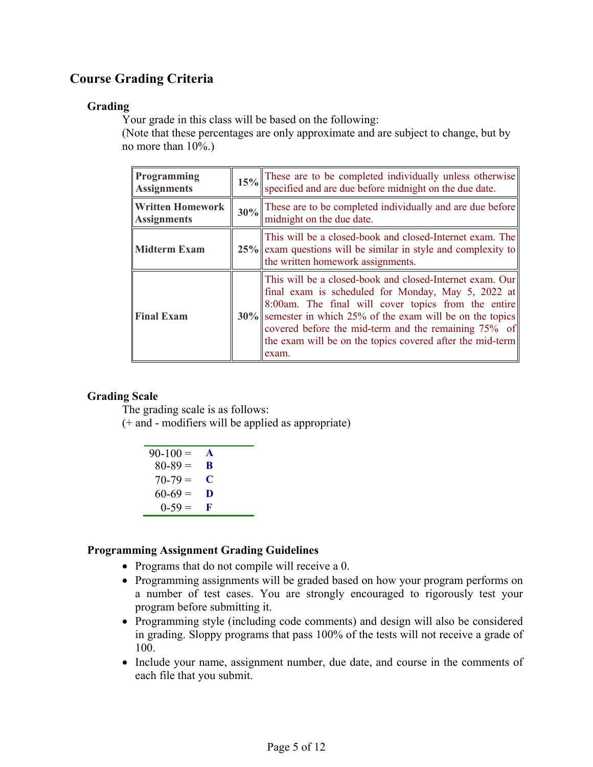# **Course Grading Criteria**

# **Grading**

Your grade in this class will be based on the following:

(Note that these percentages are only approximate and are subject to change, but by no more than 10%.)

| Programming<br><b>Assignments</b>             | 15% These are to be completed individually unless otherwise specified and are due before midnight on the due date.                                                                                                                                                                                                                                                    |  |
|-----------------------------------------------|-----------------------------------------------------------------------------------------------------------------------------------------------------------------------------------------------------------------------------------------------------------------------------------------------------------------------------------------------------------------------|--|
| <b>Written Homework</b><br><b>Assignments</b> | $30\%$ These are to be completed individually and are due before<br>midnight on the due date.                                                                                                                                                                                                                                                                         |  |
| <b>Midterm Exam</b>                           | This will be a closed-book and closed-Internet exam. The<br>$25\%$ exam questions will be similar in style and complexity to<br>the written homework assignments.                                                                                                                                                                                                     |  |
| <b>Final Exam</b>                             | This will be a closed-book and closed-Internet exam. Our<br>final exam is scheduled for Monday, May 5, 2022 at<br>8:00am. The final will cover topics from the entire<br>$30\%$ semester in which 25% of the exam will be on the topics<br>covered before the mid-term and the remaining 75% of<br>the exam will be on the topics covered after the mid-term<br>exam. |  |

# **Grading Scale**

The grading scale is as follows:

(+ and - modifiers will be applied as appropriate)

| $90 - 100 =$ | $\blacktriangle$ |
|--------------|------------------|
| $80 - 89 =$  | R                |
| $70 - 79 =$  | C                |
| $60-69=$     | D                |
| $0-59=$      | R                |

# **Programming Assignment Grading Guidelines**

- Programs that do not compile will receive a 0.
- Programming assignments will be graded based on how your program performs on a number of test cases. You are strongly encouraged to rigorously test your program before submitting it.
- Programming style (including code comments) and design will also be considered in grading. Sloppy programs that pass 100% of the tests will not receive a grade of 100.
- Include your name, assignment number, due date, and course in the comments of each file that you submit.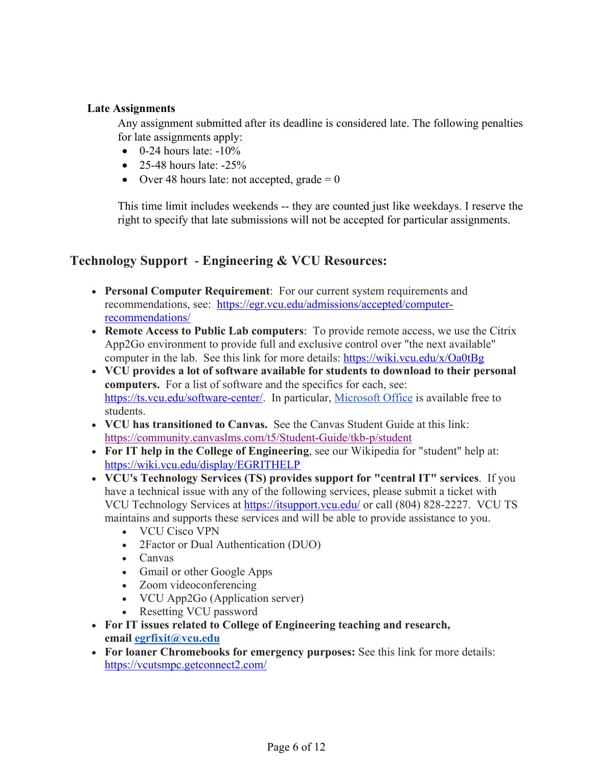## **Late Assignments**

Any assignment submitted after its deadline is considered late. The following penalties for late assignments apply:

- $\bullet$  0-24 hours late:  $-10\%$
- 25-48 hours late:  $-25\%$
- Over 48 hours late: not accepted, grade  $= 0$

This time limit includes weekends -- they are counted just like weekdays. I reserve the right to specify that late submissions will not be accepted for particular assignments.

# **Technology Support** - **Engineering & VCU Resources:**

- **Personal Computer Requirement**: For our current system requirements and recommendations, see: https://egr.vcu.edu/admissions/accepted/computerrecommendations/
- **Remote Access to Public Lab computers**: To provide remote access, we use the Citrix App2Go environment to provide full and exclusive control over "the next available" computer in the lab. See this link for more details: https://wiki.vcu.edu/x/Oa0tBg
- **VCU provides a lot of software available for students to download to their personal computers.** For a list of software and the specifics for each, see: https://ts.vcu.edu/software-center/. In particular, Microsoft Office is available free to students.
- **VCU has transitioned to Canvas.** See the Canvas Student Guide at this link: https://community.canvaslms.com/t5/Student-Guide/tkb-p/student
- **For IT help in the College of Engineering**, see our Wikipedia for "student" help at: https://wiki.vcu.edu/display/EGRITHELP
- **VCU's Technology Services (TS) provides support for "central IT" services**. If you have a technical issue with any of the following services, please submit a ticket with VCU Technology Services at https://itsupport.vcu.edu/ or call (804) 828-2227. VCU TS maintains and supports these services and will be able to provide assistance to you.
	- VCU Cisco VPN
	- 2Factor or Dual Authentication (DUO)
	- Canvas
	- Gmail or other Google Apps
	- Zoom videoconferencing
	- VCU App2Go (Application server)
	- Resetting VCU password
- **For IT issues related to College of Engineering teaching and research, email egrfixit@vcu.edu**
- **For loaner Chromebooks for emergency purposes:** See this link for more details: https://vcutsmpc.getconnect2.com/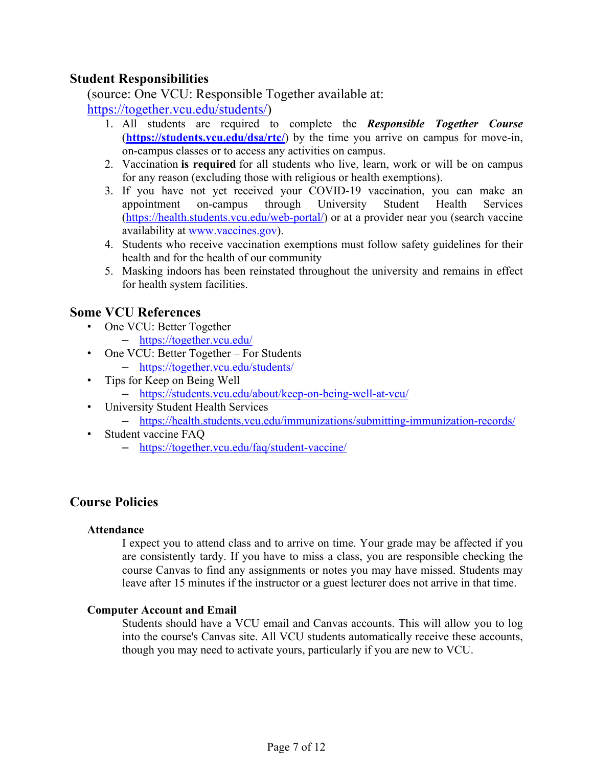# **Student Responsibilities**

(source: One VCU: Responsible Together available at:

https://together.vcu.edu/students/)

- 1. All students are required to complete the *Responsible Together Course* (**https://students.vcu.edu/dsa/rtc/**) by the time you arrive on campus for move-in, on-campus classes or to access any activities on campus.
- 2. Vaccination **is required** for all students who live, learn, work or will be on campus for any reason (excluding those with religious or health exemptions).
- 3. If you have not yet received your COVID-19 vaccination, you can make an appointment on-campus through University Student Health Services (https://health.students.vcu.edu/web-portal/) or at a provider near you (search vaccine availability at www.vaccines.gov).
- 4. Students who receive vaccination exemptions must follow safety guidelines for their health and for the health of our community
- 5. Masking indoors has been reinstated throughout the university and remains in effect for health system facilities.

# **Some VCU References**

- One VCU: Better Together
	- https://together.vcu.edu/
- One VCU: Better Together For Students
	- https://together.vcu.edu/students/
- Tips for Keep on Being Well
	- https://students.vcu.edu/about/keep-on-being-well-at-vcu/
- University Student Health Services
	- https://health.students.vcu.edu/immunizations/submitting-immunization-records/
- Student vaccine FAQ
	- https://together.vcu.edu/faq/student-vaccine/

# **Course Policies**

### **Attendance**

I expect you to attend class and to arrive on time. Your grade may be affected if you are consistently tardy. If you have to miss a class, you are responsible checking the course Canvas to find any assignments or notes you may have missed. Students may leave after 15 minutes if the instructor or a guest lecturer does not arrive in that time.

# **Computer Account and Email**

Students should have a VCU email and Canvas accounts. This will allow you to log into the course's Canvas site. All VCU students automatically receive these accounts, though you may need to activate yours, particularly if you are new to VCU.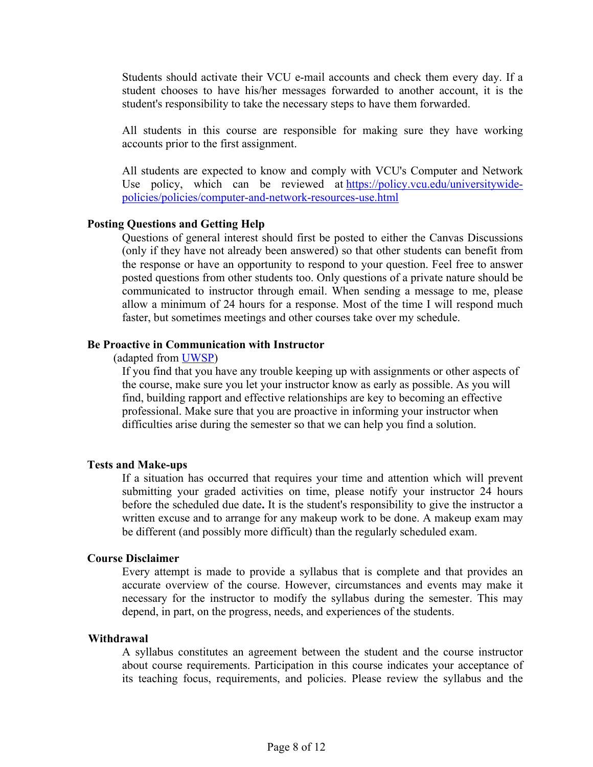Students should activate their VCU e-mail accounts and check them every day. If a student chooses to have his/her messages forwarded to another account, it is the student's responsibility to take the necessary steps to have them forwarded.

All students in this course are responsible for making sure they have working accounts prior to the first assignment.

All students are expected to know and comply with VCU's Computer and Network Use policy, which can be reviewed at https://policy.vcu.edu/universitywidepolicies/policies/computer-and-network-resources-use.html

#### **Posting Questions and Getting Help**

Questions of general interest should first be posted to either the Canvas Discussions (only if they have not already been answered) so that other students can benefit from the response or have an opportunity to respond to your question. Feel free to answer posted questions from other students too. Only questions of a private nature should be communicated to instructor through email. When sending a message to me, please allow a minimum of 24 hours for a response. Most of the time I will respond much faster, but sometimes meetings and other courses take over my schedule.

#### **Be Proactive in Communication with Instructor**

(adapted from UWSP)

If you find that you have any trouble keeping up with assignments or other aspects of the course, make sure you let your instructor know as early as possible. As you will find, building rapport and effective relationships are key to becoming an effective professional. Make sure that you are proactive in informing your instructor when difficulties arise during the semester so that we can help you find a solution.

#### **Tests and Make-ups**

If a situation has occurred that requires your time and attention which will prevent submitting your graded activities on time, please notify your instructor 24 hours before the scheduled due date**.** It is the student's responsibility to give the instructor a written excuse and to arrange for any makeup work to be done. A makeup exam may be different (and possibly more difficult) than the regularly scheduled exam.

#### **Course Disclaimer**

Every attempt is made to provide a syllabus that is complete and that provides an accurate overview of the course. However, circumstances and events may make it necessary for the instructor to modify the syllabus during the semester. This may depend, in part, on the progress, needs, and experiences of the students.

#### **Withdrawal**

A syllabus constitutes an agreement between the student and the course instructor about course requirements. Participation in this course indicates your acceptance of its teaching focus, requirements, and policies. Please review the syllabus and the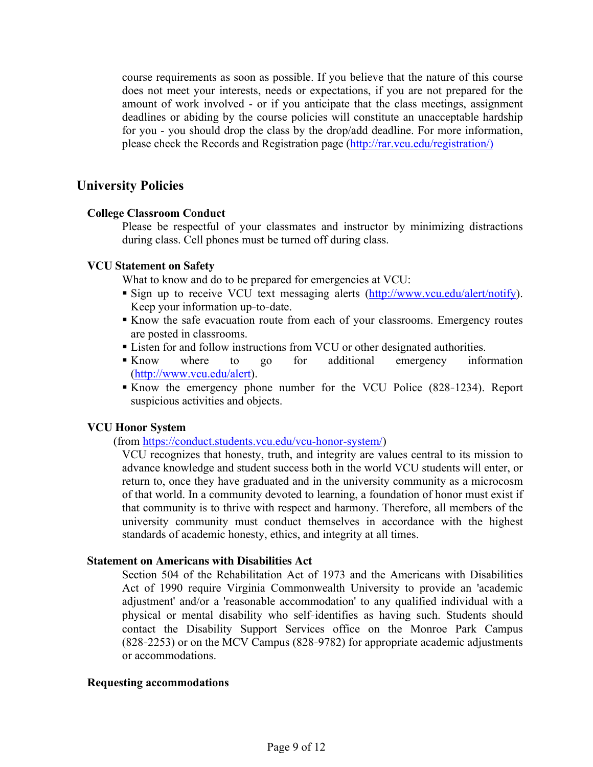course requirements as soon as possible. If you believe that the nature of this course does not meet your interests, needs or expectations, if you are not prepared for the amount of work involved - or if you anticipate that the class meetings, assignment deadlines or abiding by the course policies will constitute an unacceptable hardship for you - you should drop the class by the drop/add deadline. For more information, please check the Records and Registration page (http://rar.vcu.edu/registration/)

# **University Policies**

### **College Classroom Conduct**

Please be respectful of your classmates and instructor by minimizing distractions during class. Cell phones must be turned off during class.

#### **VCU Statement on Safety**

What to know and do to be prepared for emergencies at VCU:

- Sign up to receive VCU text messaging alerts (http://www.vcu.edu/alert/notify). Keep your information up‐to‐date.
- Know the safe evacuation route from each of your classrooms. Emergency routes are posted in classrooms.
- Listen for and follow instructions from VCU or other designated authorities.
- Know where to go for additional emergency information (http://www.vcu.edu/alert).
- Know the emergency phone number for the VCU Police (828–1234). Report suspicious activities and objects.

### **VCU Honor System**

(from https://conduct.students.vcu.edu/vcu-honor-system/)

VCU recognizes that honesty, truth, and integrity are values central to its mission to advance knowledge and student success both in the world VCU students will enter, or return to, once they have graduated and in the university community as a microcosm of that world. In a community devoted to learning, a foundation of honor must exist if that community is to thrive with respect and harmony. Therefore, all members of the university community must conduct themselves in accordance with the highest standards of academic honesty, ethics, and integrity at all times.

#### **Statement on Americans with Disabilities Act**

Section 504 of the Rehabilitation Act of 1973 and the Americans with Disabilities Act of 1990 require Virginia Commonwealth University to provide an 'academic adjustment' and/or a 'reasonable accommodation' to any qualified individual with a physical or mental disability who self‐identifies as having such. Students should contact the Disability Support Services office on the Monroe Park Campus (828‐2253) or on the MCV Campus (828‐9782) for appropriate academic adjustments or accommodations.

#### **Requesting accommodations**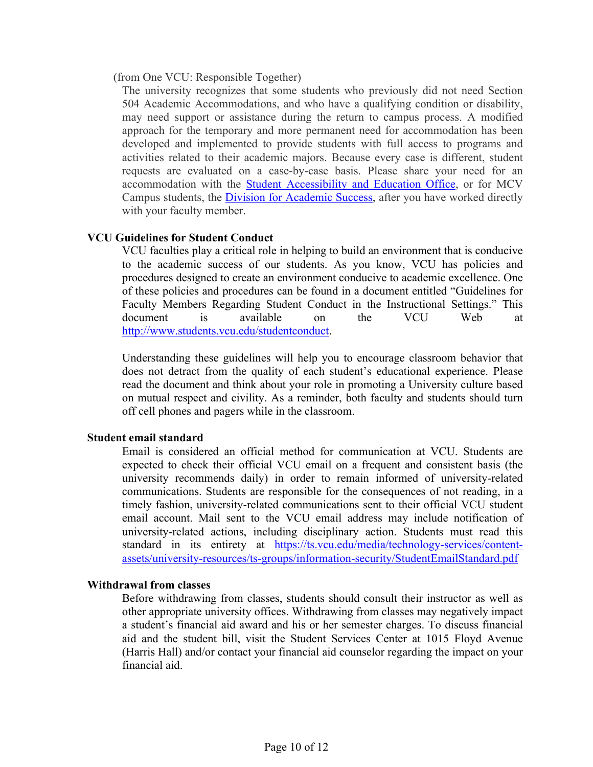#### (from One VCU: Responsible Together)

The university recognizes that some students who previously did not need Section 504 Academic Accommodations, and who have a qualifying condition or disability, may need support or assistance during the return to campus process. A modified approach for the temporary and more permanent need for accommodation has been developed and implemented to provide students with full access to programs and activities related to their academic majors. Because every case is different, student requests are evaluated on a case-by-case basis. Please share your need for an accommodation with the Student Accessibility and Education Office, or for MCV Campus students, the Division for Academic Success, after you have worked directly with your faculty member.

## **VCU Guidelines for Student Conduct**

VCU faculties play a critical role in helping to build an environment that is conducive to the academic success of our students. As you know, VCU has policies and procedures designed to create an environment conducive to academic excellence. One of these policies and procedures can be found in a document entitled "Guidelines for Faculty Members Regarding Student Conduct in the Instructional Settings." This document is available on the VCU Web at http://www.students.vcu.edu/studentconduct.

Understanding these guidelines will help you to encourage classroom behavior that does not detract from the quality of each student's educational experience. Please read the document and think about your role in promoting a University culture based on mutual respect and civility. As a reminder, both faculty and students should turn off cell phones and pagers while in the classroom.

### **Student email standard**

Email is considered an official method for communication at VCU. Students are expected to check their official VCU email on a frequent and consistent basis (the university recommends daily) in order to remain informed of university-related communications. Students are responsible for the consequences of not reading, in a timely fashion, university-related communications sent to their official VCU student email account. Mail sent to the VCU email address may include notification of university-related actions, including disciplinary action. Students must read this standard in its entirety at https://ts.vcu.edu/media/technology-services/contentassets/university-resources/ts-groups/information-security/StudentEmailStandard.pdf

### **Withdrawal from classes**

Before withdrawing from classes, students should consult their instructor as well as other appropriate university offices. Withdrawing from classes may negatively impact a student's financial aid award and his or her semester charges. To discuss financial aid and the student bill, visit the Student Services Center at 1015 Floyd Avenue (Harris Hall) and/or contact your financial aid counselor regarding the impact on your financial aid.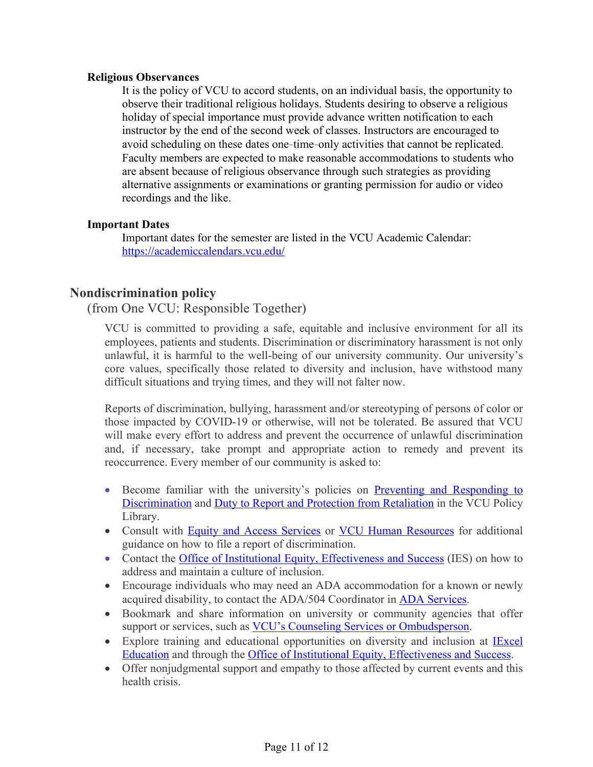#### **Religious Observances**

It is the policy of VCU to accord students, on an individual basis, the opportunity to observe their traditional religious holidays. Students desiring to observe a religious holiday of special importance must provide advance written notification to each instructor by the end of the second week of classes. Instructors are encouraged to avoid scheduling on these dates one‐time‐only activities that cannot be replicated. Faculty members are expected to make reasonable accommodations to students who are absent because of religious observance through such strategies as providing alternative assignments or examinations or granting permission for audio or video recordings and the like.

### **Important Dates**

Important dates for the semester are listed in the VCU Academic Calendar: https://academiccalendars.vcu.edu/

# **Nondiscrimination policy**

(from One VCU: Responsible Together)

VCU is committed to providing a safe, equitable and inclusive environment for all its employees, patients and students. Discrimination or discriminatory harassment is not only unlawful, it is harmful to the well-being of our university community. Our university's core values, specifically those related to diversity and inclusion, have withstood many difficult situations and trying times, and they will not falter now.

Reports of discrimination, bullying, harassment and/or stereotyping of persons of color or those impacted by COVID-19 or otherwise, will not be tolerated. Be assured that VCU will make every effort to address and prevent the occurrence of unlawful discrimination and, if necessary, take prompt and appropriate action to remedy and prevent its reoccurrence. Every member of our community is asked to:

- Become familiar with the university's policies on Preventing and Responding to Discrimination and Duty to Report and Protection from Retaliation in the VCU Policy Library.
- Consult with Equity and Access Services or VCU Human Resources for additional guidance on how to file a report of discrimination.
- Contact the Office of Institutional Equity, Effectiveness and Success (IES) on how to address and maintain a culture of inclusion.
- Encourage individuals who may need an ADA accommodation for a known or newly acquired disability, to contact the ADA/504 Coordinator in ADA Services.
- Bookmark and share information on university or community agencies that offer support or services, such as VCU's Counseling Services or Ombudsperson.
- Explore training and educational opportunities on diversity and inclusion at IExcel Education and through the Office of Institutional Equity, Effectiveness and Success.
- Offer nonjudgmental support and empathy to those affected by current events and this health crisis.